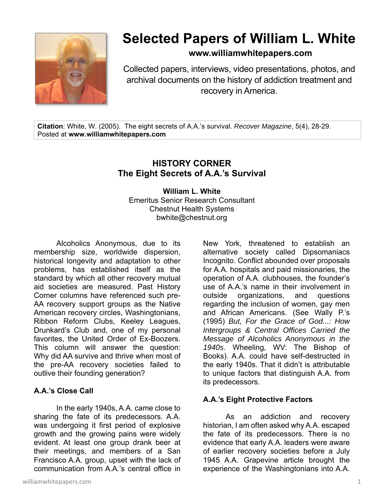

# **Selected Papers of William L. White**

## **www.williamwhitepapers.com**

Collected papers, interviews, video presentations, photos, and archival documents on the history of addiction treatment and recovery in America.

**Citation**: White, W. (2005). The eight secrets of A.A.'s survival. *Recover Magazine*, 5(4), 28-29. Posted at **www.williamwhitepapers.com** 

## **HISTORY CORNER The Eight Secrets of A.A.'s Survival**

**William L. White**  Emeritus Senior Research Consultant Chestnut Health Systems bwhite@chestnut.org

Alcoholics Anonymous, due to its membership size, worldwide dispersion, historical longevity and adaptation to other problems, has established itself as the standard by which all other recovery mutual aid societies are measured. Past History Corner columns have referenced such pre-AA recovery support groups as the Native American recovery circles, Washingtonians, Ribbon Reform Clubs, Keeley Leagues, Drunkard's Club and, one of my personal favorites, the United Order of Ex-Boozers. This column will answer the question: Why did AA survive and thrive when most of the pre-AA recovery societies failed to outlive their founding generation?

### **A.A.'s Close Call**

 In the early 1940s, A.A. came close to sharing the fate of its predecessors. A.A. was undergoing it first period of explosive growth and the growing pains were widely evident. At least one group drank beer at their meetings, and members of a San Francisco A.A. group, upset with the lack of communication from A.A.'s central office in

williamwhitepapers.com and the set of the set of the set of the set of the set of the set of the set of the set of the set of the set of the set of the set of the set of the set of the set of the set of the set of the set

New York, threatened to establish an alternative society called Dipsomaniacs Incognito. Conflict abounded over proposals for A.A. hospitals and paid missionaries, the operation of A.A. clubhouses, the founder's use of A.A.'s name in their involvement in outside organizations, and questions regarding the inclusion of women, gay men and African Americans. (See Wally P.'s (1995) *But, For the Grace of God...: How Intergroups & Central Offices Carried the Message of Alcoholics Anonymous in the 1940s*. Wheeling, WV: The Bishop of Books). A.A. could have self-destructed in the early 1940s. That it didn't is attributable to unique factors that distinguish A.A. from its predecessors.

### **A.A.'s Eight Protective Factors**

 As an addiction and recovery historian, I am often asked why A.A. escaped the fate of its predecessors. There is no evidence that early A.A. leaders were aware of earlier recovery societies before a July 1945 A.A. Grapevine article brought the experience of the Washingtonians into A.A.